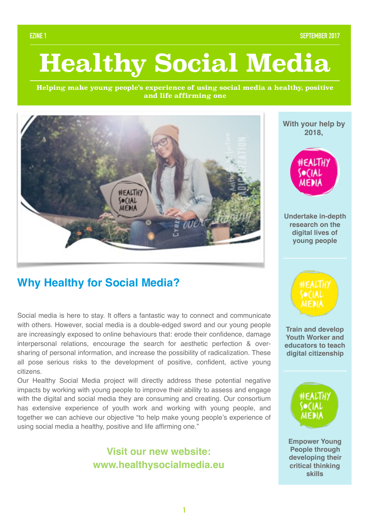# **Healthy Social Media**

**Helping make young people's experience of using social media a healthy, positive and life affirming one**



## **Why Healthy for Social Media?**

Social media is here to stay. It offers a fantastic way to connect and communicate with others. However, social media is a double-edged sword and our young people are increasingly exposed to online behaviours that: erode their confidence, damage interpersonal relations, encourage the search for aesthetic perfection & oversharing of personal information, and increase the possibility of radicalization. These all pose serious risks to the development of positive, confident, active young citizens.

Our Healthy Social Media project will directly address these potential negative impacts by working with young people to improve their ability to assess and engage with the digital and social media they are consuming and creating. Our consortium has extensive experience of youth work and working with young people, and together we can achieve our objective "to help make young people's experience of using social media a healthy, positive and life affirming one."

### **Visit our new website: www.healthysocialmedia.eu**

**With your help by 2018,** 



**Undertake in-depth research on the digital lives of young people**



**Train and develop Youth Worker and educators to teach digital citizenship**



**Empower Young People through developing their critical thinking skills**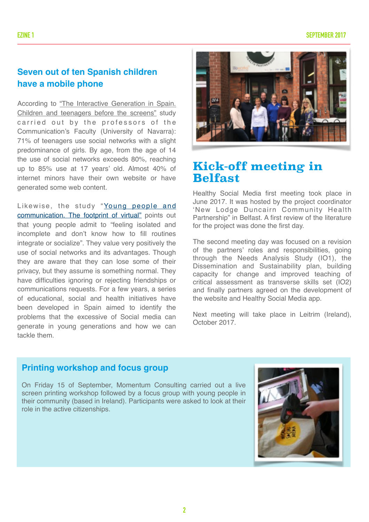#### **Seven out of ten Spanish children have a mobile phone**

[According to "The Interactive Generation in Spain.](https://publiadmin.fundaciontelefonica.com/index.php/publicaciones/add_descargas?tipo_fichero=pdf&idioma_fichero=_&title=La+Generaci%C3%B3n+Interactiva+en+Espa%C3%B1a&code=11&lang=es&file=GGII_completo.pdf)  Children and teenagers before the screens" study carried out by the professors of the Communication's Faculty (University of Navarra): 71% of teenagers use social networks with a slight predominance of girls. By age, from the age of 14 the use of social networks exceeds 80%, reaching up to 85% use at 17 years' old. Almost 40% of internet minors have their own website or have generated some web content.

Likewise, the study "Young people and [communication. The footprint of virtual" points out](http://adolescenciayjuventud.org/que-hacemos/monografias-y-estudios/ampliar.php/Id_contenido/73887/)  that young people admit to "feeling isolated and incomplete and don't know how to fill routines integrate or socialize". They value very positively the use of social networks and its advantages. Though they are aware that they can lose some of their privacy, but they assume is something normal. They have difficulties ignoring or rejecting friendships or communications requests. For a few years, a series of educational, social and health initiatives have been developed in Spain aimed to identify the problems that the excessive of Social media can generate in young generations and how we can tackle them.



## **Kick-off meeting in Belfast**

Healthy Social Media first meeting took place in June 2017. It was hosted by the project coordinator 'New Lodge Duncairn Community Health Partnership" in Belfast. A first review of the literature for the project was done the first day.

The second meeting day was focused on a revision of the partners' roles and responsibilities, going through the Needs Analysis Study (IO1), the Dissemination and Sustainability plan, building capacity for change and improved teaching of critical assessment as transverse skills set (IO2) and finally partners agreed on the development of the website and Healthy Social Media app.

Next meeting will take place in Leitrim (Ireland), October 2017.

#### **Printing workshop and focus group**

On Friday 15 of September, Momentum Consulting carried out a live screen printing workshop followed by a focus group with young people in their community (based in Ireland). Participants were asked to look at their role in the active citizenships.